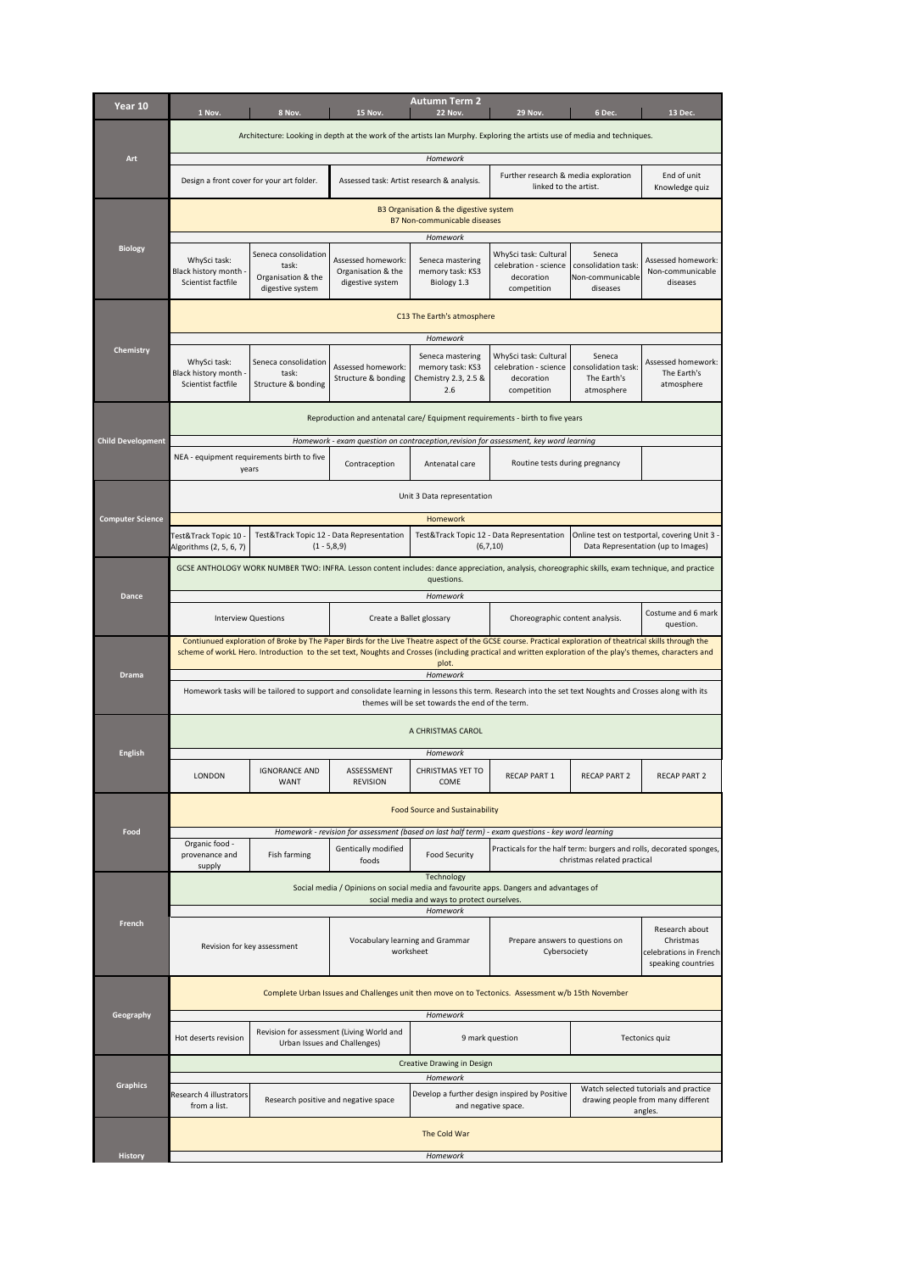| Year 10                  | 1 Nov.                                                                                                                                                                                                                                                                                                                                      | 8 Nov.                                                                  | <b>15 Nov.</b>                                                                                    | Autumn Term 2<br><b>22 Nov.</b>                                      | <b>29 Nov.</b>                                                              | 6 Dec.                                                        | 13 Dec.                                                                                |  |
|--------------------------|---------------------------------------------------------------------------------------------------------------------------------------------------------------------------------------------------------------------------------------------------------------------------------------------------------------------------------------------|-------------------------------------------------------------------------|---------------------------------------------------------------------------------------------------|----------------------------------------------------------------------|-----------------------------------------------------------------------------|---------------------------------------------------------------|----------------------------------------------------------------------------------------|--|
| Art                      |                                                                                                                                                                                                                                                                                                                                             |                                                                         |                                                                                                   |                                                                      |                                                                             |                                                               |                                                                                        |  |
|                          | Architecture: Looking in depth at the work of the artists Ian Murphy. Exploring the artists use of media and techniques.<br>Homework                                                                                                                                                                                                        |                                                                         |                                                                                                   |                                                                      |                                                                             |                                                               |                                                                                        |  |
|                          |                                                                                                                                                                                                                                                                                                                                             | Design a front cover for your art folder.                               | Assessed task: Artist research & analysis.                                                        |                                                                      | Further research & media exploration<br>linked to the artist.               |                                                               | End of unit<br>Knowledge quiz                                                          |  |
|                          | B3 Organisation & the digestive system<br><b>B7 Non-communicable diseases</b>                                                                                                                                                                                                                                                               |                                                                         |                                                                                                   |                                                                      |                                                                             |                                                               |                                                                                        |  |
| <b>Biology</b>           |                                                                                                                                                                                                                                                                                                                                             |                                                                         |                                                                                                   | Homework                                                             |                                                                             |                                                               |                                                                                        |  |
|                          | WhySci task:<br>Black history month<br>Scientist factfile                                                                                                                                                                                                                                                                                   | Seneca consolidation<br>task:<br>Organisation & the<br>digestive system | Assessed homework:<br>Organisation & the<br>digestive system                                      | Seneca mastering<br>memory task: KS3<br>Biology 1.3                  | WhySci task: Cultural<br>celebration - science<br>decoration<br>competition | Seneca<br>consolidation task:<br>Non-communicable<br>diseases | Assessed homework:<br>Non-communicable<br>diseases                                     |  |
|                          | C13 The Earth's atmosphere                                                                                                                                                                                                                                                                                                                  |                                                                         |                                                                                                   |                                                                      |                                                                             |                                                               |                                                                                        |  |
| Chemistry                |                                                                                                                                                                                                                                                                                                                                             |                                                                         |                                                                                                   | Homework                                                             |                                                                             |                                                               |                                                                                        |  |
|                          | WhySci task:<br>Black history month -<br>Scientist factfile                                                                                                                                                                                                                                                                                 | Seneca consolidation<br>task:<br>Structure & bonding                    | Assessed homework:<br>Structure & bonding                                                         | Seneca mastering<br>memory task: KS3<br>Chemistry 2.3, 2.5 &<br>2.6  | WhySci task: Cultural<br>celebration - science<br>decoration<br>competition | Seneca<br>consolidation task:<br>The Earth's<br>atmosphere    | Assessed homework:<br>The Earth's<br>atmosphere                                        |  |
|                          | Reproduction and antenatal care/ Equipment requirements - birth to five years                                                                                                                                                                                                                                                               |                                                                         |                                                                                                   |                                                                      |                                                                             |                                                               |                                                                                        |  |
| <b>Child Development</b> |                                                                                                                                                                                                                                                                                                                                             |                                                                         | Homework - exam question on contraception, revision for assessment, key word learning             |                                                                      |                                                                             |                                                               |                                                                                        |  |
|                          | NEA - equipment requirements birth to five<br>years                                                                                                                                                                                                                                                                                         |                                                                         | Contraception                                                                                     | Antenatal care                                                       | Routine tests during pregnancy                                              |                                                               |                                                                                        |  |
|                          | Unit 3 Data representation                                                                                                                                                                                                                                                                                                                  |                                                                         |                                                                                                   |                                                                      |                                                                             |                                                               |                                                                                        |  |
| <b>Computer Science</b>  |                                                                                                                                                                                                                                                                                                                                             |                                                                         |                                                                                                   | Homework                                                             |                                                                             |                                                               |                                                                                        |  |
|                          | Test&Track Topic 10 -<br>Algorithms (2, 5, 6, 7)                                                                                                                                                                                                                                                                                            |                                                                         | Test&Track Topic 12 - Data Representation<br>$(1 - 5, 8, 9)$                                      |                                                                      | Test&Track Topic 12 - Data Representation<br>(6, 7, 10)                     |                                                               | Online test on testportal, covering Unit 3 -<br>Data Representation (up to Images)     |  |
|                          | GCSE ANTHOLOGY WORK NUMBER TWO: INFRA. Lesson content includes: dance appreciation, analysis, choreographic skills, exam technique, and practice<br>questions.                                                                                                                                                                              |                                                                         |                                                                                                   |                                                                      |                                                                             |                                                               |                                                                                        |  |
| <b>Dance</b>             |                                                                                                                                                                                                                                                                                                                                             |                                                                         |                                                                                                   | Homework                                                             |                                                                             |                                                               |                                                                                        |  |
|                          |                                                                                                                                                                                                                                                                                                                                             | <b>Interview Questions</b>                                              | Create a Ballet glossary                                                                          |                                                                      | Choreographic content analysis.                                             |                                                               | Costume and 6 mark<br>question.                                                        |  |
| <b>Drama</b>             | Contiunued exploration of Broke by The Paper Birds for the Live Theatre aspect of the GCSE course. Practical exploration of theatrical skills through the<br>scheme of workL Hero. Introduction to the set text, Noughts and Crosses (including practical and written exploration of the play's themes, characters and<br>plot.<br>Homework |                                                                         |                                                                                                   |                                                                      |                                                                             |                                                               |                                                                                        |  |
|                          | Homework tasks will be tailored to support and consolidate learning in lessons this term. Research into the set text Noughts and Crosses along with its<br>themes will be set towards the end of the term.                                                                                                                                  |                                                                         |                                                                                                   |                                                                      |                                                                             |                                                               |                                                                                        |  |
|                          | A CHRISTMAS CAROL                                                                                                                                                                                                                                                                                                                           |                                                                         |                                                                                                   |                                                                      |                                                                             |                                                               |                                                                                        |  |
| English                  |                                                                                                                                                                                                                                                                                                                                             | <b>IGNORANCE AND</b>                                                    | ASSESSMENT                                                                                        | Homework<br>CHRISTMAS YET TO                                         |                                                                             |                                                               |                                                                                        |  |
|                          | LONDON                                                                                                                                                                                                                                                                                                                                      | <b>WANT</b>                                                             | <b>REVISION</b>                                                                                   | COME                                                                 | <b>RECAP PART 1</b>                                                         | <b>RECAP PART 2</b>                                           | <b>RECAP PART 2</b>                                                                    |  |
|                          | <b>Food Source and Sustainability</b>                                                                                                                                                                                                                                                                                                       |                                                                         |                                                                                                   |                                                                      |                                                                             |                                                               |                                                                                        |  |
| Food                     |                                                                                                                                                                                                                                                                                                                                             |                                                                         | Homework - revision for assessment (based on last half term) - exam questions - key word learning |                                                                      |                                                                             |                                                               |                                                                                        |  |
|                          | Organic food -<br>provenance and<br>supply                                                                                                                                                                                                                                                                                                  | Fish farming                                                            | Gentically modified<br>foods                                                                      | <b>Food Security</b>                                                 |                                                                             | christmas related practical                                   | Practicals for the half term: burgers and rolls, decorated sponges,                    |  |
| French                   | Technology<br>Social media / Opinions on social media and favourite apps. Dangers and advantages of<br>social media and ways to protect ourselves.                                                                                                                                                                                          |                                                                         |                                                                                                   |                                                                      |                                                                             |                                                               |                                                                                        |  |
|                          | Revision for key assessment                                                                                                                                                                                                                                                                                                                 |                                                                         | Homework<br>Vocabulary learning and Grammar<br>worksheet                                          |                                                                      | Prepare answers to questions on<br>Cybersociety                             |                                                               | Research about<br>Christmas<br>celebrations in French<br>speaking countries            |  |
| Geography                | Complete Urban Issues and Challenges unit then move on to Tectonics. Assessment w/b 15th November                                                                                                                                                                                                                                           |                                                                         |                                                                                                   |                                                                      |                                                                             |                                                               |                                                                                        |  |
|                          |                                                                                                                                                                                                                                                                                                                                             |                                                                         |                                                                                                   | Homework                                                             |                                                                             |                                                               |                                                                                        |  |
|                          | Revision for assessment (Living World and<br>Hot deserts revision<br>9 mark question<br>Tectonics quiz<br>Urban Issues and Challenges)                                                                                                                                                                                                      |                                                                         |                                                                                                   |                                                                      |                                                                             |                                                               |                                                                                        |  |
| <b>Graphics</b>          | Creative Drawing in Design<br>Homework                                                                                                                                                                                                                                                                                                      |                                                                         |                                                                                                   |                                                                      |                                                                             |                                                               |                                                                                        |  |
|                          | Research 4 illustrators<br>from a list.                                                                                                                                                                                                                                                                                                     | Research positive and negative space                                    |                                                                                                   | Develop a further design inspired by Positive<br>and negative space. |                                                                             |                                                               | Watch selected tutorials and practice<br>drawing people from many different<br>angles. |  |
|                          | The Cold War                                                                                                                                                                                                                                                                                                                                |                                                                         |                                                                                                   |                                                                      |                                                                             |                                                               |                                                                                        |  |
| <b>History</b>           | Homework                                                                                                                                                                                                                                                                                                                                    |                                                                         |                                                                                                   |                                                                      |                                                                             |                                                               |                                                                                        |  |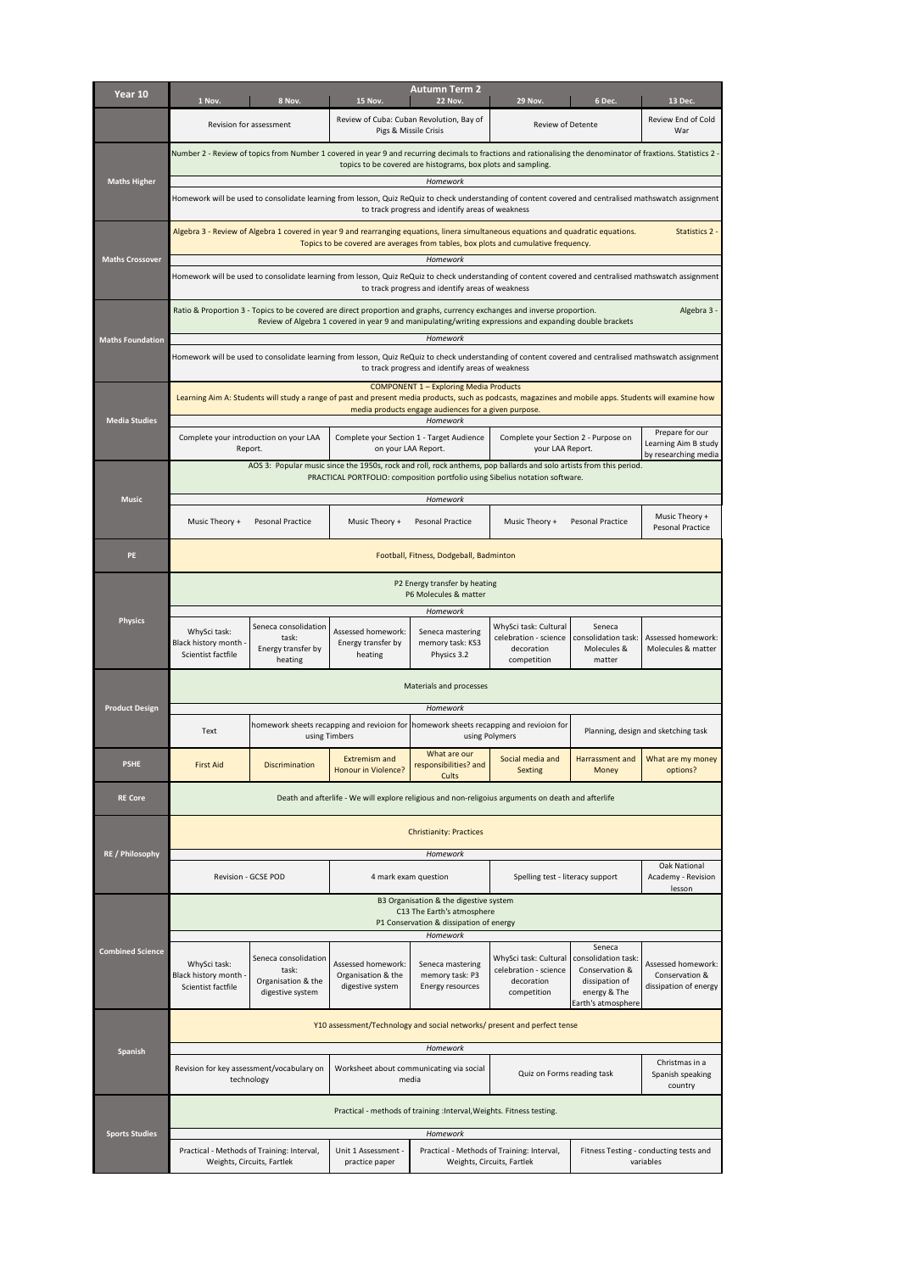| Year 10                 | 1 Nov.                                                                                                                                                                                                                                                          | 8 Nov.                                                                  | <b>15 Nov.</b>                                                                                         | <b>Autumn Term 2</b><br><b>22 Nov.</b>                        | <b>29 Nov.</b>                                                                                                                  | 6 Dec.                                                                                        | 13 Dec.                                                         |  |
|-------------------------|-----------------------------------------------------------------------------------------------------------------------------------------------------------------------------------------------------------------------------------------------------------------|-------------------------------------------------------------------------|--------------------------------------------------------------------------------------------------------|---------------------------------------------------------------|---------------------------------------------------------------------------------------------------------------------------------|-----------------------------------------------------------------------------------------------|-----------------------------------------------------------------|--|
|                         |                                                                                                                                                                                                                                                                 | Revision for assessment                                                 | Review of Cuba: Cuban Revolution, Bay of<br>Pigs & Missile Crisis                                      |                                                               | <b>Review of Detente</b>                                                                                                        |                                                                                               | Review End of Cold<br>War                                       |  |
| <b>Maths Higher</b>     | Number 2 - Review of topics from Number 1 covered in year 9 and recurring decimals to fractions and rationalising the denominator of fraxtions. Statistics 2 -<br>topics to be covered are histograms, box plots and sampling.                                  |                                                                         |                                                                                                        |                                                               |                                                                                                                                 |                                                                                               |                                                                 |  |
|                         | Homework<br>Homework will be used to consolidate learning from lesson, Quiz ReQuiz to check understanding of content covered and centralised mathswatch assignment<br>to track progress and identify areas of weakness                                          |                                                                         |                                                                                                        |                                                               |                                                                                                                                 |                                                                                               |                                                                 |  |
| <b>Maths Crossover</b>  | Algebra 3 - Review of Algebra 1 covered in year 9 and rearranging equations, linera simultaneous equations and quadratic equations.<br>Statistics 2 -<br>Topics to be covered are averages from tables, box plots and cumulative frequency.                     |                                                                         |                                                                                                        |                                                               |                                                                                                                                 |                                                                                               |                                                                 |  |
|                         | Homework<br>Homework will be used to consolidate learning from lesson, Quiz ReQuiz to check understanding of content covered and centralised mathswatch assignment<br>to track progress and identify areas of weakness                                          |                                                                         |                                                                                                        |                                                               |                                                                                                                                 |                                                                                               |                                                                 |  |
| <b>Maths Foundation</b> | Ratio & Proportion 3 - Topics to be covered are direct proportion and graphs, currency exchanges and inverse proportion.<br>Algebra 3 -<br>Review of Algebra 1 covered in year 9 and manipulating/writing expressions and expanding double brackets             |                                                                         |                                                                                                        |                                                               |                                                                                                                                 |                                                                                               |                                                                 |  |
|                         | Homework<br>Homework will be used to consolidate learning from lesson, Quiz ReQuiz to check understanding of content covered and centralised mathswatch assignment<br>to track progress and identify areas of weakness                                          |                                                                         |                                                                                                        |                                                               |                                                                                                                                 |                                                                                               |                                                                 |  |
| <b>Media Studies</b>    | <b>COMPONENT 1 - Exploring Media Products</b><br>Learning Aim A: Students will study a range of past and present media products, such as podcasts, magazines and mobile apps. Students will examine how<br>media products engage audiences for a given purpose. |                                                                         |                                                                                                        |                                                               |                                                                                                                                 |                                                                                               |                                                                 |  |
|                         | Complete your introduction on your LAA                                                                                                                                                                                                                          | Report.                                                                 | Complete your Section 1 - Target Audience<br>on your LAA Report.                                       | Homework                                                      | Complete your Section 2 - Purpose on<br>your LAA Report.                                                                        |                                                                                               | Prepare for our<br>Learning Aim B study<br>by researching media |  |
|                         | AOS 3: Popular music since the 1950s, rock and roll, rock anthems, pop ballards and solo artists from this period.<br>PRACTICAL PORTFOLIO: composition portfolio using Sibelius notation software.                                                              |                                                                         |                                                                                                        |                                                               |                                                                                                                                 |                                                                                               |                                                                 |  |
| <b>Music</b>            |                                                                                                                                                                                                                                                                 |                                                                         |                                                                                                        | Homework                                                      |                                                                                                                                 |                                                                                               |                                                                 |  |
|                         | Music Theory +                                                                                                                                                                                                                                                  | <b>Pesonal Practice</b>                                                 | Music Theory +                                                                                         | <b>Pesonal Practice</b>                                       | Music Theory +                                                                                                                  | <b>Pesonal Practice</b>                                                                       | Music Theory +<br><b>Pesonal Practice</b>                       |  |
| PE                      | Football, Fitness, Dodgeball, Badminton                                                                                                                                                                                                                         |                                                                         |                                                                                                        |                                                               |                                                                                                                                 |                                                                                               |                                                                 |  |
|                         | P2 Energy transfer by heating<br>P6 Molecules & matter                                                                                                                                                                                                          |                                                                         |                                                                                                        |                                                               |                                                                                                                                 |                                                                                               |                                                                 |  |
| <b>Physics</b>          |                                                                                                                                                                                                                                                                 | Seneca consolidation                                                    |                                                                                                        | Homework                                                      | WhySci task: Cultural                                                                                                           | Seneca                                                                                        |                                                                 |  |
|                         | WhySci task:<br>Black history month<br>Scientist factfile                                                                                                                                                                                                       | task:<br>Energy transfer by<br>heating                                  | Assessed homework:<br>Energy transfer by<br>heating                                                    | Seneca mastering<br>memory task: KS3<br>Physics 3.2           | celebration - science<br>decoration<br>competition                                                                              | consolidation task:<br>Molecules &<br>matter                                                  | Assessed homework:<br>Molecules & matter                        |  |
|                         | Materials and processes                                                                                                                                                                                                                                         |                                                                         |                                                                                                        |                                                               |                                                                                                                                 |                                                                                               |                                                                 |  |
| <b>Product Design</b>   |                                                                                                                                                                                                                                                                 |                                                                         |                                                                                                        | Homework                                                      |                                                                                                                                 |                                                                                               |                                                                 |  |
|                         | Text                                                                                                                                                                                                                                                            |                                                                         | homework sheets recapping and revioion for homework sheets recapping and revioion for<br>using Timbers | What are our                                                  | using Polymers                                                                                                                  | Planning, design and sketching task                                                           |                                                                 |  |
| <b>PSHE</b>             | <b>First Aid</b>                                                                                                                                                                                                                                                | Discrimination                                                          | Extremism and<br><b>Honour in Violence?</b>                                                            | responsibilities? and<br>Cults                                | Social media and<br><b>Sexting</b>                                                                                              | Harrassment and<br>Money                                                                      | What are my money<br>options?                                   |  |
| <b>RE Core</b>          | Death and afterlife - We will explore religious and non-religoius arguments on death and afterlife                                                                                                                                                              |                                                                         |                                                                                                        |                                                               |                                                                                                                                 |                                                                                               |                                                                 |  |
| RE / Philosophy         | <b>Christianity: Practices</b><br>Homework                                                                                                                                                                                                                      |                                                                         |                                                                                                        |                                                               |                                                                                                                                 |                                                                                               |                                                                 |  |
|                         |                                                                                                                                                                                                                                                                 | Revision - GCSE POD                                                     | 4 mark exam question                                                                                   |                                                               | Spelling test - literacy support                                                                                                |                                                                                               | Oak National<br>Academy - Revision<br>lesson                    |  |
| <b>Combined Science</b> | B3 Organisation & the digestive system<br>C13 The Earth's atmosphere<br>P1 Conservation & dissipation of energy                                                                                                                                                 |                                                                         |                                                                                                        |                                                               |                                                                                                                                 |                                                                                               |                                                                 |  |
|                         |                                                                                                                                                                                                                                                                 |                                                                         |                                                                                                        | Homework                                                      |                                                                                                                                 | Seneca                                                                                        |                                                                 |  |
|                         | WhySci task:<br>Black history month<br>Scientist factfile                                                                                                                                                                                                       | Seneca consolidation<br>task:<br>Organisation & the<br>digestive system | Assessed homework:<br>Organisation & the<br>digestive system                                           | Seneca mastering<br>memory task: P3<br>Energy resources       | WhySci task: Cultural<br>celebration - science<br>decoration<br>competition                                                     | consolidation task:<br>Conservation &<br>dissipation of<br>energy & The<br>Earth's atmosphere | Assessed homework:<br>Conservation &<br>dissipation of energy   |  |
| Spanish                 | Y10 assessment/Technology and social networks/ present and perfect tense                                                                                                                                                                                        |                                                                         |                                                                                                        |                                                               |                                                                                                                                 |                                                                                               |                                                                 |  |
|                         | Revision for key assessment/vocabulary on<br>technology                                                                                                                                                                                                         |                                                                         |                                                                                                        | Homework<br>Worksheet about communicating via social<br>media |                                                                                                                                 | Quiz on Forms reading task                                                                    |                                                                 |  |
| <b>Sports Studies</b>   | Practical - methods of training :Interval, Weights. Fitness testing.                                                                                                                                                                                            |                                                                         |                                                                                                        |                                                               |                                                                                                                                 |                                                                                               |                                                                 |  |
|                         | Homework                                                                                                                                                                                                                                                        |                                                                         |                                                                                                        |                                                               |                                                                                                                                 |                                                                                               |                                                                 |  |
|                         | Practical - Methods of Training: Interval,                                                                                                                                                                                                                      | Weights, Circuits, Fartlek                                              | Unit 1 Assessment -<br>practice paper                                                                  |                                                               | Practical - Methods of Training: Interval,<br>Fitness Testing - conducting tests and<br>Weights, Circuits, Fartlek<br>variables |                                                                                               |                                                                 |  |